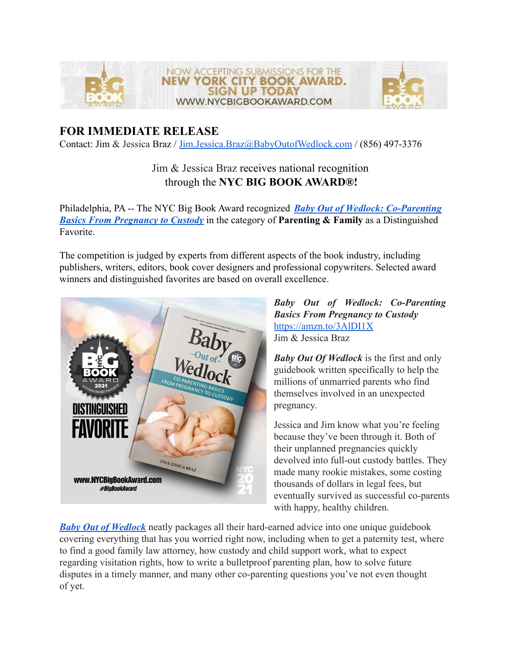





## **FOR IMMEDIATE RELEASE**

Contact: Jim & Jessica Braz / [Jim.Jessica.Braz@BabyOutofWedlock.com](mailto:Jim.Jessica.Braz@BabyOutofWedlock.com) / (856) 497-3376

## Jim & Jessica Braz receives national recognition through the **NYC BIG BOOK AWARD®!**

Philadelphia, PA -- The NYC Big Book Award recognized *[Baby Out of Wedlock: Co-Parenting](https://www.nycbigbookaward.com/2021distinguishedfavorites?lightbox=dataItem-kv5nekxw2) [Basics From Pregnancy to Custody](https://www.nycbigbookaward.com/2021distinguishedfavorites?lightbox=dataItem-kv5nekxw2)* in the category of **Parenting & Family** as a Distinguished Favorite.

The competition is judged by experts from different aspects of the book industry, including publishers, writers, editors, book cover designers and professional copywriters. Selected award winners and distinguished favorites are based on overall excellence.



*Baby Out of Wedlock: Co-Parenting Basics From Pregnancy to Custody* <https://amzn.to/3AlDI1X> Jim & Jessica Braz

*Baby Out Of Wedlock* is the first and only guidebook written specifically to help the millions of unmarried parents who find themselves involved in an unexpected pregnancy.

Jessica and Jim know what you're feeling because they've been through it. Both of their unplanned pregnancies quickly devolved into full-out custody battles. They made many rookie mistakes, some costing thousands of dollars in legal fees, but eventually survived as successful co-parents with happy, healthy children.

*[Baby Out of Wedlock](https://www.nycbigbookaward.com/2021distinguishedfavorites?lightbox=dataItem-kv5nekxw2)* neatly packages all their hard-earned advice into one unique guidebook covering everything that has you worried right now, including when to get a paternity test, where to find a good family law attorney, how custody and child support work, what to expect regarding visitation rights, how to write a bulletproof parenting plan, how to solve future disputes in a timely manner, and many other co-parenting questions you've not even thought of yet.